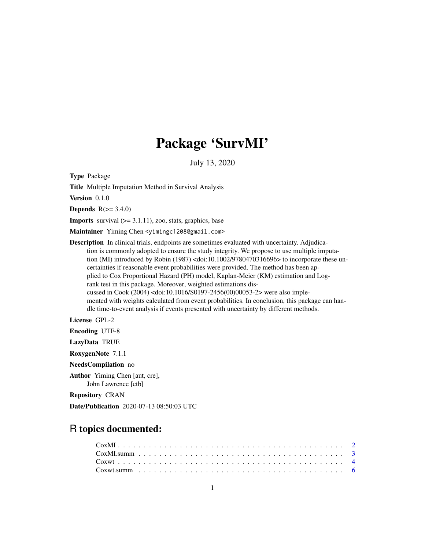## Package 'SurvMI'

July 13, 2020

Type Package

Title Multiple Imputation Method in Survival Analysis

Version 0.1.0

**Depends**  $R(>= 3.4.0)$ 

**Imports** survival  $(>= 3.1.11)$ , zoo, stats, graphics, base

Maintainer Yiming Chen <yimingc1208@gmail.com>

Description In clinical trials, endpoints are sometimes evaluated with uncertainty. Adjudication is commonly adopted to ensure the study integrity. We propose to use multiple imputation (MI) introduced by Robin (1987) <doi:10.1002/9780470316696> to incorporate these uncertainties if reasonable event probabilities were provided. The method has been applied to Cox Proportional Hazard (PH) model, Kaplan-Meier (KM) estimation and Logrank test in this package. Moreover, weighted estimations discussed in Cook (2004) <doi:10.1016/S0197-2456(00)00053-2> were also implemented with weights calculated from event probabilities. In conclusion, this package can handle time-to-event analysis if events presented with uncertainty by different methods.

License GPL-2

Encoding UTF-8

LazyData TRUE

RoxygenNote 7.1.1

NeedsCompilation no

Author Yiming Chen [aut, cre], John Lawrence [ctb]

Repository CRAN

Date/Publication 2020-07-13 08:50:03 UTC

### R topics documented: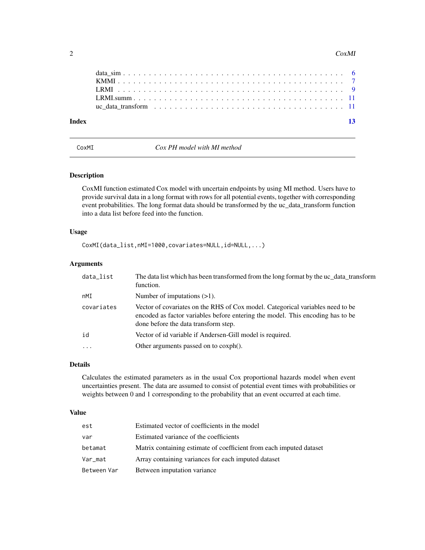#### <span id="page-1-0"></span>2 CoxMI

| $-13$ |
|-------|
|       |
|       |
|       |

<span id="page-1-1"></span>CoxMI *Cox PH model with MI method*

#### Description

CoxMI function estimated Cox model with uncertain endpoints by using MI method. Users have to provide survival data in a long format with rows for all potential events, together with corresponding event probabilities. The long format data should be transformed by the uc\_data\_transform function into a data list before feed into the function.

#### Usage

CoxMI(data\_list,nMI=1000,covariates=NULL,id=NULL,...)

#### Arguments

| data_list  | The data list which has been transformed from the long format by the uc_data_transform<br>function.                                                                                                      |
|------------|----------------------------------------------------------------------------------------------------------------------------------------------------------------------------------------------------------|
| nMI        | Number of imputations $(>1)$ .                                                                                                                                                                           |
| covariates | Vector of covariates on the RHS of Cox model. Categorical variables need to be<br>encoded as factor variables before entering the model. This encoding has to be<br>done before the data transform step. |
| id         | Vector of id variable if Andersen-Gill model is required.                                                                                                                                                |
| $\ddotsc$  | Other arguments passed on to coxph().                                                                                                                                                                    |

#### Details

Calculates the estimated parameters as in the usual Cox proportional hazards model when event uncertainties present. The data are assumed to consist of potential event times with probabilities or weights between 0 and 1 corresponding to the probability that an event occurred at each time.

#### Value

| est         | Estimated vector of coefficients in the model                       |
|-------------|---------------------------------------------------------------------|
| var         | Estimated variance of the coefficients                              |
| betamat     | Matrix containing estimate of coefficient from each imputed dataset |
| Var_mat     | Array containing variances for each imputed dataset                 |
| Between Var | Between imputation variance                                         |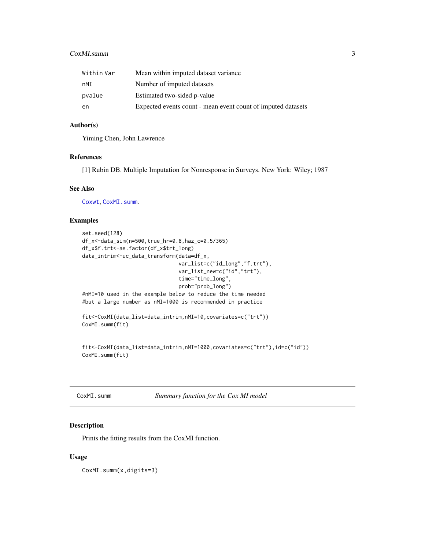#### <span id="page-2-0"></span>CoxMI.summ 3

| Within Var | Mean within imputed dataset variance                         |
|------------|--------------------------------------------------------------|
| nMI        | Number of imputed datasets                                   |
| pvalue     | Estimated two-sided p-value                                  |
| en         | Expected events count - mean event count of imputed datasets |

#### Author(s)

Yiming Chen, John Lawrence

#### References

[1] Rubin DB. Multiple Imputation for Nonresponse in Surveys. New York: Wiley; 1987

#### See Also

[Coxwt](#page-3-1), [CoxMI.summ](#page-2-1).

#### Examples

```
set.seed(128)
df_x<-data_sim(n=500,true_hr=0.8,haz_c=0.5/365)
df_x$f.trt<-as.factor(df_x$trt_long)
data_intrim<-uc_data_transform(data=df_x,
                               var_list=c("id_long","f.trt"),
                               var_list_new=c("id","trt"),
                               time="time_long",
                               prob="prob_long")
#nMI=10 used in the example below to reduce the time needed
#but a large number as nMI=1000 is recommended in practice
fit<-CoxMI(data_list=data_intrim,nMI=10,covariates=c("trt"))
CoxMI.summ(fit)
```

```
fit<-CoxMI(data_list=data_intrim,nMI=1000,covariates=c("trt"),id=c("id"))
CoxMI.summ(fit)
```
<span id="page-2-1"></span>

| CoxMI.summ |  |
|------------|--|
|------------|--|

Summary function for the Cox MI model

#### Description

Prints the fitting results from the CoxMI function.

#### Usage

CoxMI.summ(x,digits=3)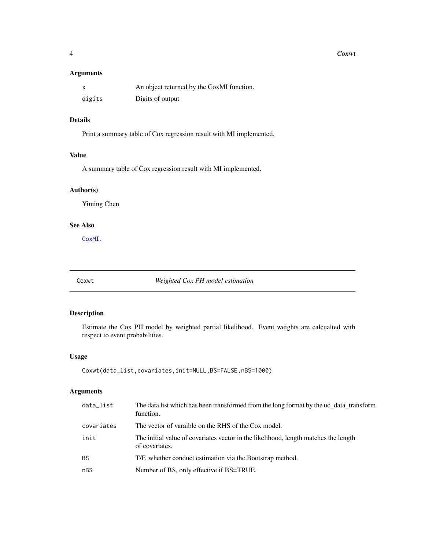#### <span id="page-3-0"></span>4 Coxwt

#### Arguments

|        | An object returned by the CoxMI function. |
|--------|-------------------------------------------|
| digits | Digits of output                          |

#### Details

Print a summary table of Cox regression result with MI implemented.

#### Value

A summary table of Cox regression result with MI implemented.

#### Author(s)

Yiming Chen

#### See Also

[CoxMI](#page-1-1).

<span id="page-3-1"></span>Coxwt *Weighted Cox PH model estimation*

#### Description

Estimate the Cox PH model by weighted partial likelihood. Event weights are calcualted with respect to event probabilities.

#### Usage

```
Coxwt(data_list,covariates,init=NULL,BS=FALSE,nBS=1000)
```
#### Arguments

| data_list  | The data list which has been transformed from the long format by the uc_data_transform<br>function.   |
|------------|-------------------------------------------------------------------------------------------------------|
| covariates | The vector of varaible on the RHS of the Cox model.                                                   |
| init       | The initial value of covariates vector in the likelihood, length matches the length<br>of covariates. |
| <b>BS</b>  | T/F, whether conduct estimation via the Bootstrap method.                                             |
| nBS        | Number of BS, only effective if BS=TRUE.                                                              |
|            |                                                                                                       |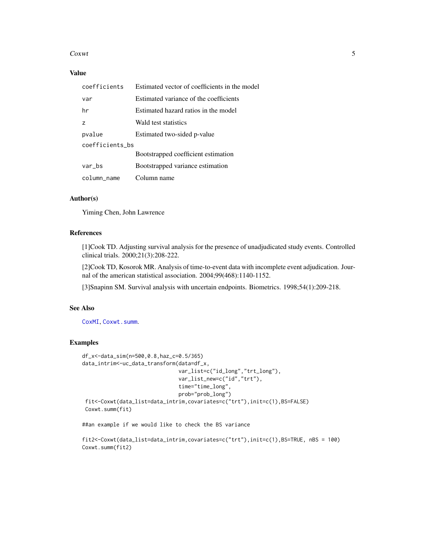#### <span id="page-4-0"></span> $Coxwt$  5

#### Value

| coefficients    | Estimated vector of coefficients in the model |
|-----------------|-----------------------------------------------|
| var             | Estimated variance of the coefficients        |
| hr              | Estimated hazard ratios in the model          |
| Z               | Wald test statistics                          |
| pvalue          | Estimated two-sided p-value                   |
| coefficients_bs |                                               |
|                 | Bootstrapped coefficient estimation           |
| var_bs          | Bootstrapped variance estimation              |
| column_name     | Column name                                   |

#### Author(s)

Yiming Chen, John Lawrence

#### References

[1]Cook TD. Adjusting survival analysis for the presence of unadjudicated study events. Controlled clinical trials. 2000;21(3):208-222.

[2]Cook TD, Kosorok MR. Analysis of time-to-event data with incomplete event adjudication. Journal of the american statistical association. 2004;99(468):1140-1152.

[3]Snapinn SM. Survival analysis with uncertain endpoints. Biometrics. 1998;54(1):209-218.

#### See Also

[CoxMI](#page-1-1), [Coxwt.summ](#page-5-1).

#### Examples

```
df_x<-data_sim(n=500,0.8,haz_c=0.5/365)
data_intrim<-uc_data_transform(data=df_x,
                               var_list=c("id_long","trt_long"),
                               var_list_new=c("id","trt"),
                               time="time_long",
                               prob="prob_long")
 fit<-Coxwt(data_list=data_intrim,covariates=c("trt"),init=c(1),BS=FALSE)
Coxwt.summ(fit)
```
##an example if we would like to check the BS variance

```
fit2<-Coxwt(data_list=data_intrim,covariates=c("trt"),init=c(1),BS=TRUE, nBS = 100)
Coxwt.summ(fit2)
```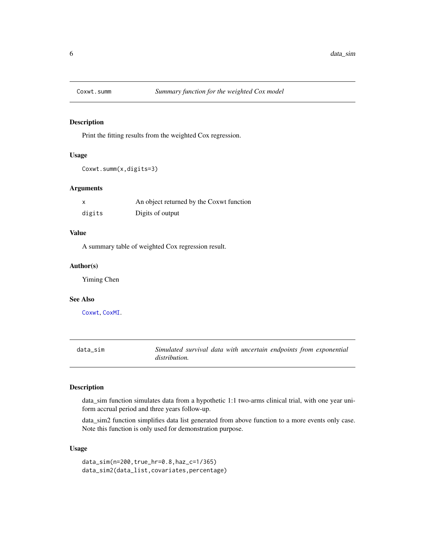<span id="page-5-1"></span><span id="page-5-0"></span>

#### Description

Print the fitting results from the weighted Cox regression.

#### Usage

Coxwt.summ(x,digits=3)

#### Arguments

| x      | An object returned by the Coxwt function |
|--------|------------------------------------------|
| digits | Digits of output                         |

#### Value

A summary table of weighted Cox regression result.

#### Author(s)

Yiming Chen

#### See Also

[Coxwt](#page-3-1), [CoxMI](#page-1-1).

data\_sim *Simulated survival data with uncertain endpoints from exponential distribution.*

#### Description

data\_sim function simulates data from a hypothetic 1:1 two-arms clinical trial, with one year uniform accrual period and three years follow-up.

data\_sim2 function simplifies data list generated from above function to a more events only case. Note this function is only used for demonstration purpose.

#### Usage

data\_sim(n=200,true\_hr=0.8,haz\_c=1/365) data\_sim2(data\_list,covariates,percentage)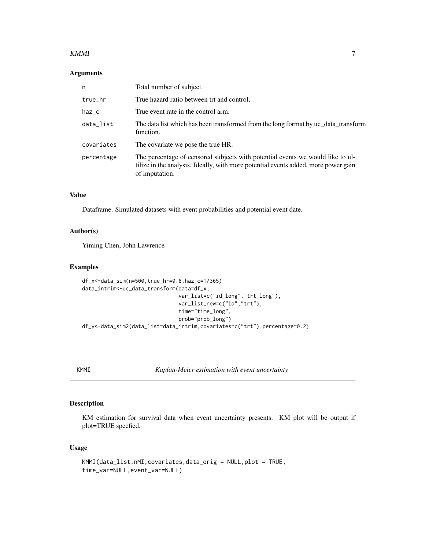#### <span id="page-6-0"></span> $KMMI$  7

#### Arguments

| n          | Total number of subject.                                                                                                                                                               |
|------------|----------------------------------------------------------------------------------------------------------------------------------------------------------------------------------------|
| true_hr    | True hazard ratio between trt and control.                                                                                                                                             |
| haz_c      | True event rate in the control arm.                                                                                                                                                    |
| data_list  | The data list which has been transformed from the long format by uc_data_transform<br>function.                                                                                        |
| covariates | The covariate we pose the true HR.                                                                                                                                                     |
| percentage | The percentage of censored subjects with potential events we would like to ul-<br>tilize in the analysis. Ideally, with more potential events added, more power gain<br>of imputation. |

#### Value

Dataframe. Simulated datasets with event probabilities and potential event date.

#### Author(s)

Yiming Chen, John Lawrence

#### Examples

```
df_x<-data_sim(n=500,true_hr=0.8,haz_c=1/365)
data_intrim<-uc_data_transform(data=df_x,
                               var_list=c("id_long","trt_long"),
                               var_list_new=c("id","trt"),
                               time="time_long",
                               prob="prob_long")
df_y<-data_sim2(data_list=data_intrim,covariates=c("trt"),percentage=0.2)
```
KMMI *Kaplan-Meier estimation with event uncertainty*

#### Description

KM estimation for survival data when event uncertainty presents. KM plot will be output if plot=TRUE specfied.

#### Usage

```
KMMI(data_list,nMI,covariates,data_orig = NULL,plot = TRUE,
time_var=NULL,event_var=NULL)
```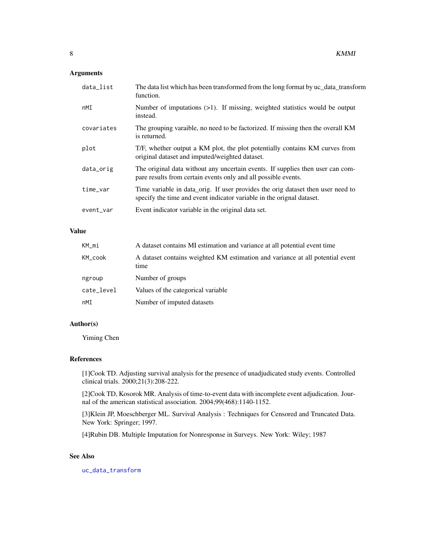#### <span id="page-7-0"></span>Arguments

| data_list  | The data list which has been transformed from the long format by uc_data_transform<br>function.                                                          |
|------------|----------------------------------------------------------------------------------------------------------------------------------------------------------|
| nMI        | Number of imputations $(>1)$ . If missing, weighted statistics would be output<br>instead.                                                               |
| covariates | The grouping varaible, no need to be factorized. If missing then the overall KM<br>is returned.                                                          |
| plot       | T/F, whether output a KM plot, the plot potentially contains KM curves from<br>original dataset and imputed/weighted dataset.                            |
| data_orig  | The original data without any uncertain events. If supplies then user can com-<br>pare results from certain events only and all possible events.         |
| time_var   | Time variable in data_orig. If user provides the orig dataset then user need to<br>specify the time and event indicator variable in the orignal dataset. |
| event_var  | Event indicator variable in the original data set.                                                                                                       |

#### Value

| KM_mi      | A dataset contains MI estimation and variance at all potential event time             |
|------------|---------------------------------------------------------------------------------------|
| KM_cook    | A dataset contains weighted KM estimation and variance at all potential event<br>time |
| ngroup     | Number of groups                                                                      |
| cate_level | Values of the categorical variable.                                                   |
| nMI        | Number of imputed datasets                                                            |

#### Author(s)

Yiming Chen

#### References

[1]Cook TD. Adjusting survival analysis for the presence of unadjudicated study events. Controlled clinical trials. 2000;21(3):208-222.

[2]Cook TD, Kosorok MR. Analysis of time-to-event data with incomplete event adjudication. Journal of the american statistical association. 2004;99(468):1140-1152.

[3]Klein JP, Moeschberger ML. Survival Analysis : Techniques for Censored and Truncated Data. New York: Springer; 1997.

[4]Rubin DB. Multiple Imputation for Nonresponse in Surveys. New York: Wiley; 1987

#### See Also

[uc\\_data\\_transform](#page-10-1)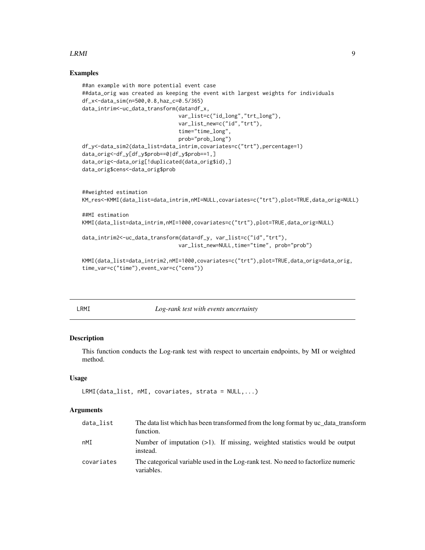#### <span id="page-8-0"></span> $LRMI$  9

#### Examples

```
##an example with more potential event case
##data_orig was created as keeping the event with largest weights for individuals
df_x<-data_sim(n=500,0.8,haz_c=0.5/365)
data_intrim<-uc_data_transform(data=df_x,
                               var_list=c("id_long","trt_long"),
                               var_list_new=c("id","trt"),
                               time="time_long",
                               prob="prob_long")
df_y<-data_sim2(data_list=data_intrim,covariates=c("trt"),percentage=1)
data_orig<-df_y[df_y$prob==0|df_y$prob==1,]
data_orig<-data_orig[!duplicated(data_orig$id),]
data_orig$cens<-data_orig$prob
##weighted estimation
KM_res<-KMMI(data_list=data_intrim,nMI=NULL,covariates=c("trt"),plot=TRUE,data_orig=NULL)
##MI estimation
KMMI(data_list=data_intrim,nMI=1000,covariates=c("trt"),plot=TRUE,data_orig=NULL)
data_intrim2<-uc_data_transform(data=df_y, var_list=c("id","trt"),
                               var_list_new=NULL,time="time", prob="prob")
KMMI(data_list=data_intrim2,nMI=1000,covariates=c("trt"),plot=TRUE,data_orig=data_orig,
time_var=c("time"),event_var=c("cens"))
```
<span id="page-8-1"></span>

LRMI *Log-rank test with events uncertainty*

#### Description

This function conducts the Log-rank test with respect to uncertain endpoints, by MI or weighted method.

#### Usage

```
LRMI(data_list, nMI, covariates, strata = NULL,...)
```
#### **Arguments**

| data list  | The data list which has been transformed from the long format by uc_data_transform<br>function. |
|------------|-------------------------------------------------------------------------------------------------|
| nMI        | Number of imputation $(>1)$ . If missing, weighted statistics would be output<br>instead.       |
| covariates | The categorical variable used in the Log-rank test. No need to factorlize numeric<br>variables. |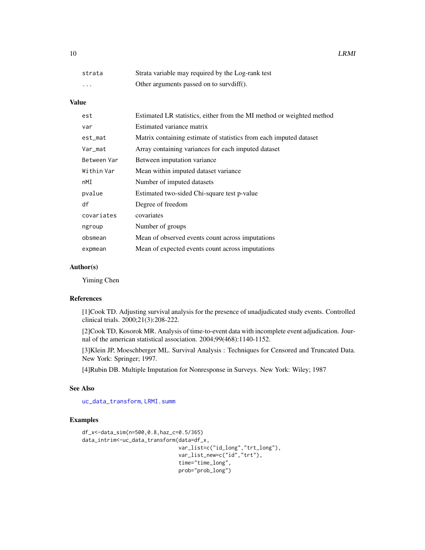<span id="page-9-0"></span>

| strata                  | Strata variable may required by the Log-rank test |
|-------------------------|---------------------------------------------------|
| $\cdot$ $\cdot$ $\cdot$ | Other arguments passed on to survdiff().          |

#### Value

| est         | Estimated LR statistics, either from the MI method or weighted method |
|-------------|-----------------------------------------------------------------------|
| var         | Estimated variance matrix                                             |
| $est_m$ at  | Matrix containing estimate of statistics from each imputed dataset    |
| Var_mat     | Array containing variances for each imputed dataset                   |
| Between Var | Between imputation variance                                           |
| Within Var  | Mean within imputed dataset variance                                  |
| nMI         | Number of imputed datasets                                            |
| pvalue      | Estimated two-sided Chi-square test p-value                           |
| df          | Degree of freedom                                                     |
| covariates  | covariates                                                            |
| ngroup      | Number of groups                                                      |
| obsmean     | Mean of observed events count across imputations                      |
| expmean     | Mean of expected events count across imputations                      |

#### Author(s)

Yiming Chen

#### References

[1]Cook TD. Adjusting survival analysis for the presence of unadjudicated study events. Controlled clinical trials. 2000;21(3):208-222.

[2]Cook TD, Kosorok MR. Analysis of time-to-event data with incomplete event adjudication. Journal of the american statistical association. 2004;99(468):1140-1152.

[3]Klein JP, Moeschberger ML. Survival Analysis : Techniques for Censored and Truncated Data. New York: Springer; 1997.

[4]Rubin DB. Multiple Imputation for Nonresponse in Surveys. New York: Wiley; 1987

#### See Also

[uc\\_data\\_transform](#page-10-1), [LRMI.summ](#page-10-2)

#### Examples

```
df_x<-data_sim(n=500,0.8,haz_c=0.5/365)
data_intrim<-uc_data_transform(data=df_x,
                               var_list=c("id_long","trt_long"),
                               var_list_new=c("id","trt"),
                               time="time_long",
                               prob="prob_long")
```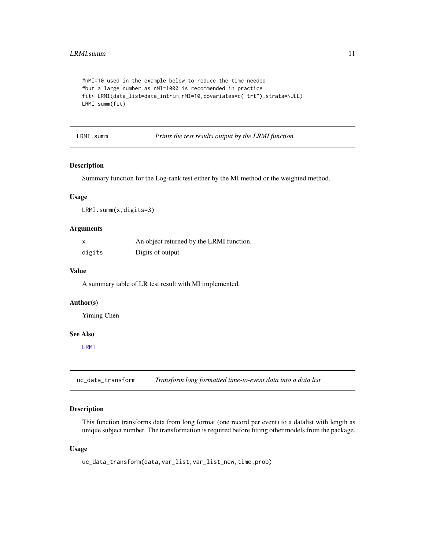```
#nMI=10 used in the example below to reduce the time needed
#but a large number as nMI=1000 is recommended in practice
fit<-LRMI(data_list=data_intrim,nMI=10,covariates=c("trt"),strata=NULL)
LRMI.summ(fit)
```
<span id="page-10-2"></span>LRMI.summ *Prints the test results output by the LRMI function*

#### Description

Summary function for the Log-rank test either by the MI method or the weighted method.

#### Usage

LRMI.summ(x,digits=3)

#### Arguments

| $\boldsymbol{\mathsf{x}}$ | An object returned by the LRMI function. |
|---------------------------|------------------------------------------|
| digits                    | Digits of output                         |

#### Value

A summary table of LR test result with MI implemented.

#### Author(s)

Yiming Chen

#### See Also

[LRMI](#page-8-1)

<span id="page-10-1"></span>uc\_data\_transform *Transform long formatted time-to-event data into a data list*

#### Description

This function transforms data from long format (one record per event) to a datalist with length as unique subject number. The transformation is required before fitting other models from the package.

#### Usage

```
uc_data_transform(data,var_list,var_list_new,time,prob)
```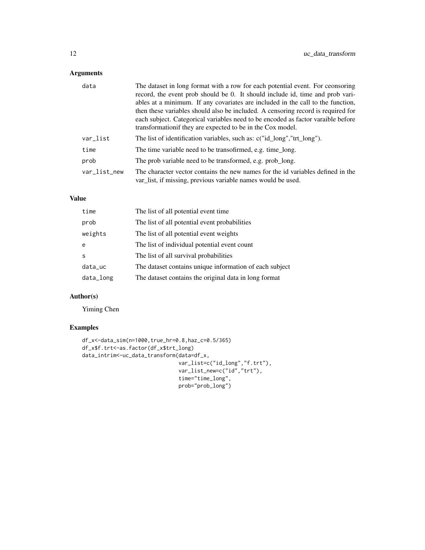#### Arguments

| data         | The dataset in long format with a row for each potential event. For ceonsoring<br>record, the event prob should be 0. It should include id, time and prob vari-<br>ables at a minimum. If any covariates are included in the call to the function,<br>then these variables should also be included. A censoring record is required for<br>each subject. Categorical variables need to be encoded as factor varaible before<br>transformation f they are expected to be in the Cox model. |
|--------------|------------------------------------------------------------------------------------------------------------------------------------------------------------------------------------------------------------------------------------------------------------------------------------------------------------------------------------------------------------------------------------------------------------------------------------------------------------------------------------------|
| var_list     | The list of identification variables, such as: c("id long","trt long").                                                                                                                                                                                                                                                                                                                                                                                                                  |
| time         | The time variable need to be transofirmed, e.g. time long.                                                                                                                                                                                                                                                                                                                                                                                                                               |
| prob         | The prob variable need to be transformed, e.g. prob_long.                                                                                                                                                                                                                                                                                                                                                                                                                                |
| var_list_new | The character vector contains the new names for the id variables defined in the<br>var_list, if missing, previous variable names would be used.                                                                                                                                                                                                                                                                                                                                          |

#### Value

| time      | The list of all potential event time.                   |
|-----------|---------------------------------------------------------|
| prob      | The list of all potential event probabilities           |
| weights   | The list of all potential event weights                 |
| e         | The list of individual potential event count            |
| S         | The list of all survival probabilities                  |
| data_uc   | The dataset contains unique information of each subject |
| data_long | The dataset contains the original data in long format   |

#### Author(s)

Yiming Chen

#### Examples

```
df_x<-data_sim(n=1000,true_hr=0.8,haz_c=0.5/365)
df_x$f.trt<-as.factor(df_x$trt_long)
data_intrim<-uc_data_transform(data=df_x,
                               var_list=c("id_long","f.trt"),
                               var_list_new=c("id","trt"),
                               time="time_long",
                               prob="prob_long")
```